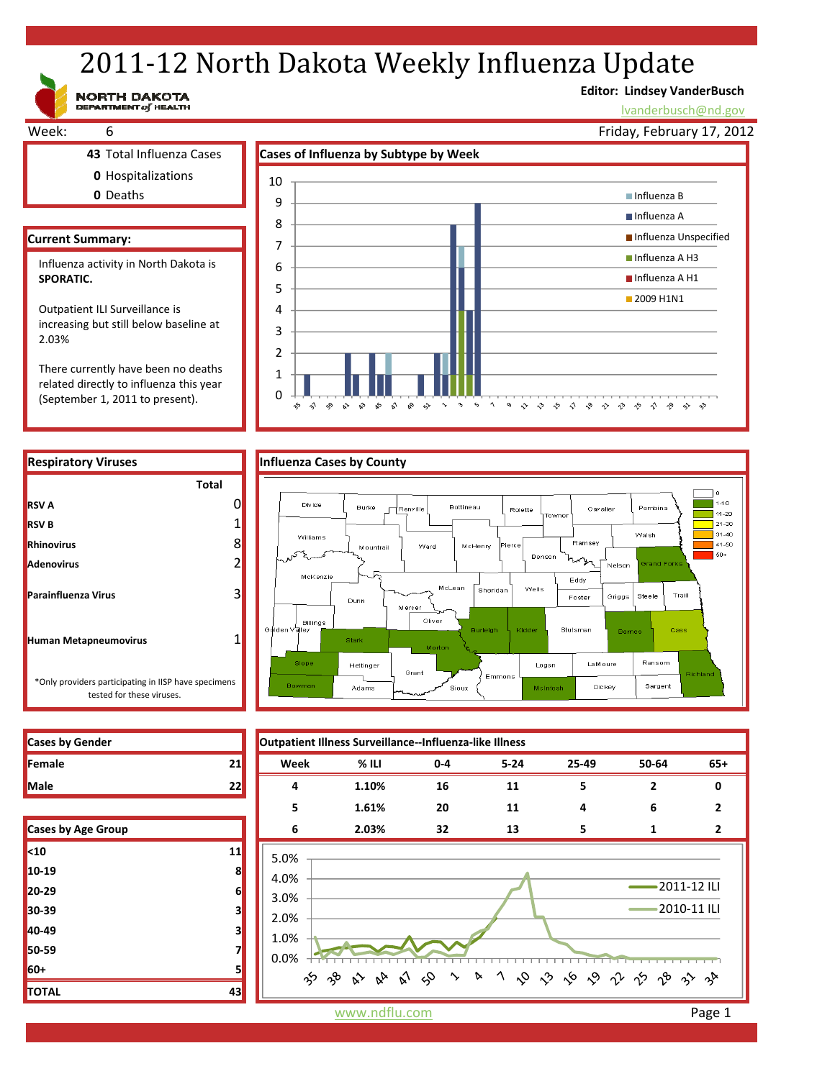# 2011-12 North Dakota Weekly Influenza Update

**Editor: Lindsey VanderBusch**

lvanderbusch@nd.gov





| <b>Cases by Gender</b>    |    |                     | Outpatient Illness Surveillance--Influenza-like Illness |         |          |       |                |                |
|---------------------------|----|---------------------|---------------------------------------------------------|---------|----------|-------|----------------|----------------|
| Female                    | 21 | Week                | % ILI                                                   | $0 - 4$ | $5 - 24$ | 25-49 | 50-64          | $65+$          |
| Male                      | 22 | 4                   | 1.10%                                                   | 16      | 11       | 5     | $\overline{2}$ | 0              |
|                           |    | 5                   | 1.61%                                                   | 20      | 11       | 4     | 6              | $\mathbf{z}$   |
| <b>Cases by Age Group</b> |    | 6                   | 2.03%                                                   | 32      | 13       | 5     | 1              | $\overline{2}$ |
| <10                       | 11 | 5.0%                |                                                         |         |          |       |                |                |
| 10-19                     | 8  | 4.0%                |                                                         |         |          |       |                |                |
| 20-29                     | 6  | 2011-12 ILI<br>3.0% |                                                         |         |          |       |                |                |
| 30-39                     | 3  | 2010-11 ILI<br>2.0% |                                                         |         |          |       |                |                |
| 40-49                     | 3  | 1.0%<br>0.0%        |                                                         |         |          |       |                |                |
| 50-59                     |    |                     |                                                         |         |          |       |                |                |
| 60+                       |    |                     | ゕゕゕゕゕゟゕヽヽヽゟゕゟゕ゚ゖゕゕゕ                                     |         |          |       |                |                |
| TOTAL                     | 43 |                     |                                                         |         |          |       |                |                |

\*Only providers participating in IISP have specimens

 $\begin{array}{c} \textbf{NORTH} \textbf{ DAKOTA} \\ \textbf{DEFARIMENT of HELTH} \end{array}$ 

| <b>Cases by Gender</b> |  |
|------------------------|--|
| <b>IFemale</b>         |  |
| <b>Male</b>            |  |

| Cases by Age Group |    |
|--------------------|----|
| $10$               | 11 |
| 10-19              | 8  |
| 20-29              | 6  |
| 30-39              | 3  |
| 40-49              | з  |
| 50-59              | 7  |
| 60+                | 5  |
| <b>TOTAL</b>       | 43 |

www.ndflu.com **Page 1**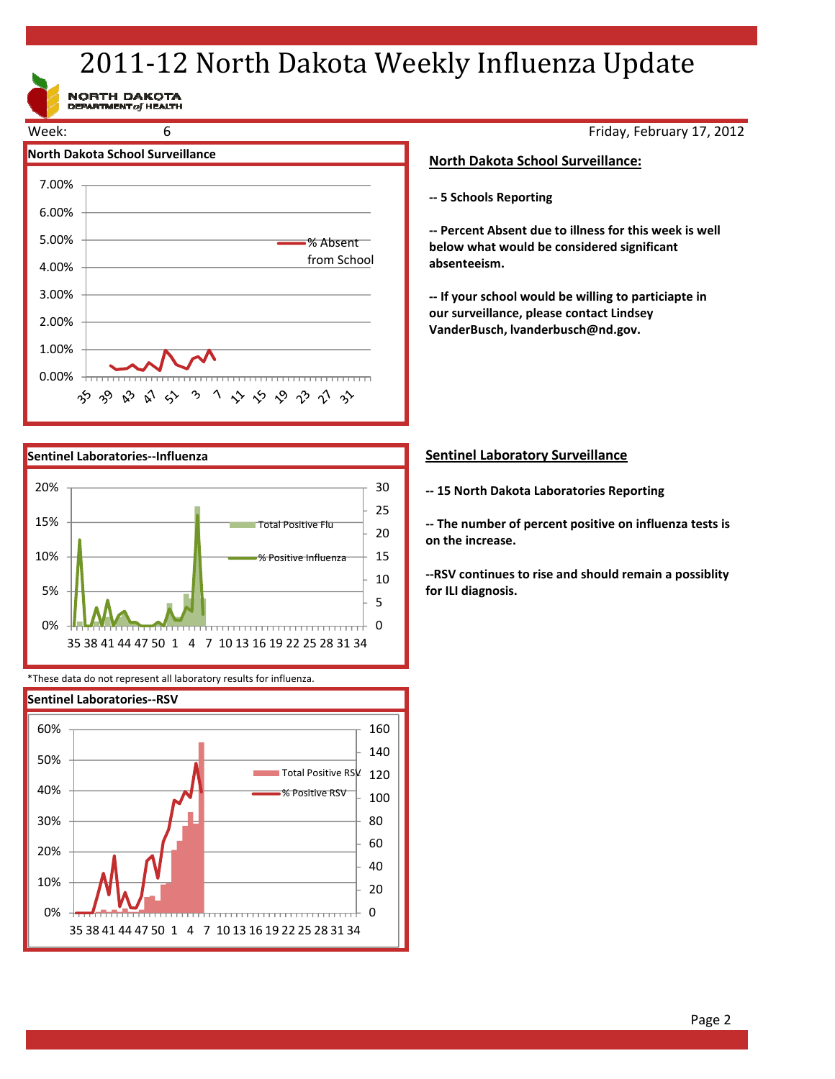# 2011-12 North Dakota Weekly Influenza Update

NORTH DAKOTA<br>DEPARTMENT of HEALTH





\*These data do not represent all laboratory results for influenza.



Friday, February 17, 2012

# **North Dakota School Surveillance:**

**‐‐ 5 Schools Reporting**

**‐‐ Percent Absent due to illness for this week is well below what would be considered significant absenteeism.**

**‐‐ If your school would be willing to particiapte in our surveillance, please contact Lindsey VanderBusch, lvanderbusch@nd.gov.**

# **Sentinel Laboratory Surveillance**

**‐‐ 15 North Dakota Laboratories Reporting**

**‐‐ The number of percent positive on influenza tests is on the increase.**

**‐‐RSV continues to rise and should remain a possiblity for ILI diagnosis.**